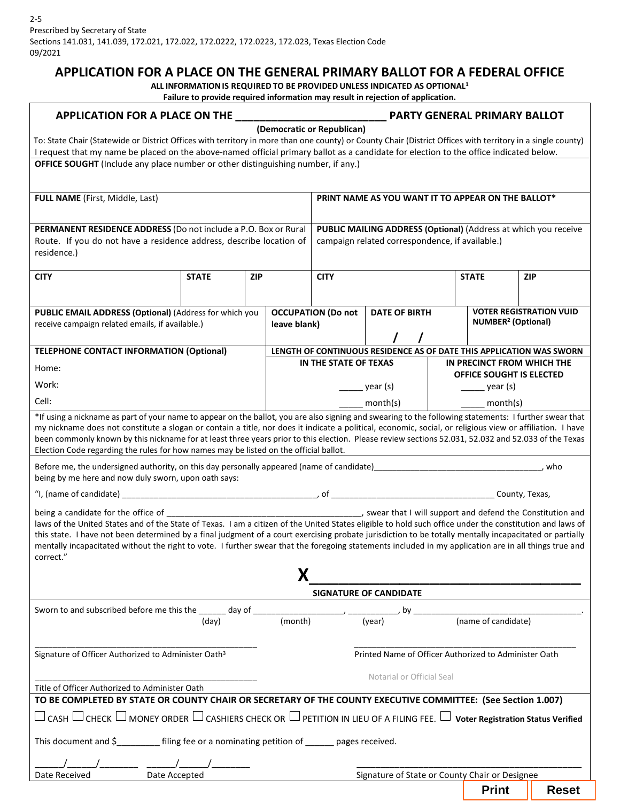## **APPLICATION FOR A PLACE ON THE GENERAL PRIMARY BALLOT FOR A FEDERAL OFFICE**

**ALL INFORMATIONIS REQUIRED TO BE PROVIDED UNLESS INDICATED AS OPTIONAL1** 

|--|

| APPLICATION FOR A PLACE ON THE <b>ACCOUNT A PARTY GENERAL PRIMARY BALLOT</b><br>(Democratic or Republican)                                                                                                                                                                                                                                                                                                                                                                                                                                                                                                                                                                                                                                                                                                            |                                                                                                                    |  |                                           |                                                       |                                                                      |                                                           |                                |  |
|-----------------------------------------------------------------------------------------------------------------------------------------------------------------------------------------------------------------------------------------------------------------------------------------------------------------------------------------------------------------------------------------------------------------------------------------------------------------------------------------------------------------------------------------------------------------------------------------------------------------------------------------------------------------------------------------------------------------------------------------------------------------------------------------------------------------------|--------------------------------------------------------------------------------------------------------------------|--|-------------------------------------------|-------------------------------------------------------|----------------------------------------------------------------------|-----------------------------------------------------------|--------------------------------|--|
| To: State Chair (Statewide or District Offices with territory in more than one county) or County Chair (District Offices with territory in a single county)<br>I request that my name be placed on the above-named official primary ballot as a candidate for election to the office indicated below.                                                                                                                                                                                                                                                                                                                                                                                                                                                                                                                 |                                                                                                                    |  |                                           |                                                       |                                                                      |                                                           |                                |  |
| OFFICE SOUGHT (Include any place number or other distinguishing number, if any.)                                                                                                                                                                                                                                                                                                                                                                                                                                                                                                                                                                                                                                                                                                                                      |                                                                                                                    |  |                                           |                                                       |                                                                      |                                                           |                                |  |
| <b>FULL NAME</b> (First, Middle, Last)                                                                                                                                                                                                                                                                                                                                                                                                                                                                                                                                                                                                                                                                                                                                                                                |                                                                                                                    |  |                                           | PRINT NAME AS YOU WANT IT TO APPEAR ON THE BALLOT*    |                                                                      |                                                           |                                |  |
| PERMANENT RESIDENCE ADDRESS (Do not include a P.O. Box or Rural<br>Route. If you do not have a residence address, describe location of<br>residence.)                                                                                                                                                                                                                                                                                                                                                                                                                                                                                                                                                                                                                                                                 | PUBLIC MAILING ADDRESS (Optional) (Address at which you receive<br>campaign related correspondence, if available.) |  |                                           |                                                       |                                                                      |                                                           |                                |  |
| <b>CITY</b>                                                                                                                                                                                                                                                                                                                                                                                                                                                                                                                                                                                                                                                                                                                                                                                                           | <b>STATE</b><br><b>ZIP</b>                                                                                         |  | <b>CITY</b>                               |                                                       |                                                                      | <b>STATE</b>                                              | <b>ZIP</b>                     |  |
| PUBLIC EMAIL ADDRESS (Optional) (Address for which you<br>receive campaign related emails, if available.)                                                                                                                                                                                                                                                                                                                                                                                                                                                                                                                                                                                                                                                                                                             |                                                                                                                    |  | <b>OCCUPATION (Do not</b><br>leave blank) |                                                       | <b>DATE OF BIRTH</b>                                                 | <b>NUMBER<sup>2</sup></b> (Optional)                      | <b>VOTER REGISTRATION VUID</b> |  |
| <b>TELEPHONE CONTACT INFORMATION (Optional)</b>                                                                                                                                                                                                                                                                                                                                                                                                                                                                                                                                                                                                                                                                                                                                                                       |                                                                                                                    |  |                                           |                                                       | LENGTH OF CONTINUOUS RESIDENCE AS OF DATE THIS APPLICATION WAS SWORN |                                                           |                                |  |
| Home:                                                                                                                                                                                                                                                                                                                                                                                                                                                                                                                                                                                                                                                                                                                                                                                                                 |                                                                                                                    |  |                                           | IN THE STATE OF TEXAS                                 |                                                                      | IN PRECINCT FROM WHICH THE                                |                                |  |
| Work:                                                                                                                                                                                                                                                                                                                                                                                                                                                                                                                                                                                                                                                                                                                                                                                                                 |                                                                                                                    |  |                                           |                                                       | year (s)                                                             | OFFICE SOUGHT IS ELECTED<br>$\frac{1}{\sqrt{2}}$ year (s) |                                |  |
| Cell:                                                                                                                                                                                                                                                                                                                                                                                                                                                                                                                                                                                                                                                                                                                                                                                                                 |                                                                                                                    |  |                                           |                                                       | month(s)                                                             | month(s)                                                  |                                |  |
| *If using a nickname as part of your name to appear on the ballot, you are also signing and swearing to the following statements: I further swear that<br>my nickname does not constitute a slogan or contain a title, nor does it indicate a political, economic, social, or religious view or affiliation. I have<br>been commonly known by this nickname for at least three years prior to this election. Please review sections 52.031, 52.032 and 52.033 of the Texas<br>Election Code regarding the rules for how names may be listed on the official ballot.<br>Before me, the undersigned authority, on this day personally appeared (name of candidate) entitled and contain the control of the state of candidate and contained authority.<br>. who<br>being by me here and now duly sworn, upon oath says: |                                                                                                                    |  |                                           |                                                       |                                                                      |                                                           |                                |  |
| laws of the United States and of the State of Texas. I am a citizen of the United States eligible to hold such office under the constitution and laws of<br>this state. I have not been determined by a final judgment of a court exercising probate jurisdiction to be totally mentally incapacitated or partially<br>mentally incapacitated without the right to vote. I further swear that the foregoing statements included in my application are in all things true and<br>correct."                                                                                                                                                                                                                                                                                                                             |                                                                                                                    |  |                                           |                                                       |                                                                      |                                                           |                                |  |
| SIGNATURE OF CANDIDATE                                                                                                                                                                                                                                                                                                                                                                                                                                                                                                                                                                                                                                                                                                                                                                                                |                                                                                                                    |  |                                           |                                                       |                                                                      |                                                           |                                |  |
|                                                                                                                                                                                                                                                                                                                                                                                                                                                                                                                                                                                                                                                                                                                                                                                                                       |                                                                                                                    |  |                                           |                                                       |                                                                      |                                                           |                                |  |
|                                                                                                                                                                                                                                                                                                                                                                                                                                                                                                                                                                                                                                                                                                                                                                                                                       | (day)                                                                                                              |  | (month)                                   |                                                       | (vear)                                                               | (name of candidate)                                       |                                |  |
| Signature of Officer Authorized to Administer Oath <sup>3</sup>                                                                                                                                                                                                                                                                                                                                                                                                                                                                                                                                                                                                                                                                                                                                                       |                                                                                                                    |  |                                           | Printed Name of Officer Authorized to Administer Oath |                                                                      |                                                           |                                |  |
| Notarial or Official Seal<br>Title of Officer Authorized to Administer Oath                                                                                                                                                                                                                                                                                                                                                                                                                                                                                                                                                                                                                                                                                                                                           |                                                                                                                    |  |                                           |                                                       |                                                                      |                                                           |                                |  |
| TO BE COMPLETED BY STATE OR COUNTY CHAIR OR SECRETARY OF THE COUNTY EXECUTIVE COMMITTEE: (See Section 1.007)                                                                                                                                                                                                                                                                                                                                                                                                                                                                                                                                                                                                                                                                                                          |                                                                                                                    |  |                                           |                                                       |                                                                      |                                                           |                                |  |
| $\Box$ CASH $\Box$ CHECK $\Box$ MONEY ORDER $\Box$ CASHIERS CHECK OR $\Box$ PETITION IN LIEU OF A FILING FEE. $\Box$ Voter Registration Status Verified                                                                                                                                                                                                                                                                                                                                                                                                                                                                                                                                                                                                                                                               |                                                                                                                    |  |                                           |                                                       |                                                                      |                                                           |                                |  |
| This document and \$________ filing fee or a nominating petition of _____ pages received.                                                                                                                                                                                                                                                                                                                                                                                                                                                                                                                                                                                                                                                                                                                             |                                                                                                                    |  |                                           |                                                       |                                                                      |                                                           |                                |  |
| Date Received                                                                                                                                                                                                                                                                                                                                                                                                                                                                                                                                                                                                                                                                                                                                                                                                         |                                                                                                                    |  |                                           |                                                       |                                                                      |                                                           |                                |  |
| Signature of State or County Chair or Designee<br>Date Accepted<br><b>Print</b><br><b>Reset</b>                                                                                                                                                                                                                                                                                                                                                                                                                                                                                                                                                                                                                                                                                                                       |                                                                                                                    |  |                                           |                                                       |                                                                      |                                                           |                                |  |